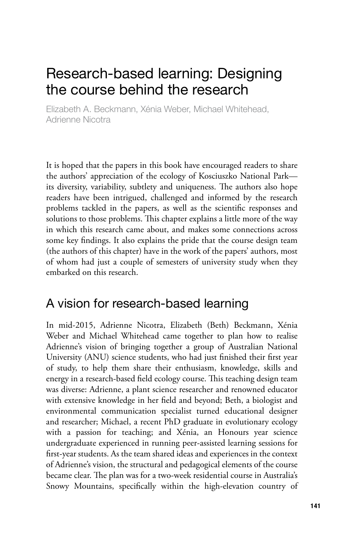# Research-based learning: Designing the course behind the research

Elizabeth A. Beckmann, Xénia Weber, Michael Whitehead, Adrienne Nicotra

It is hoped that the papers in this book have encouraged readers to share the authors' appreciation of the ecology of Kosciuszko National Park its diversity, variability, subtlety and uniqueness. The authors also hope readers have been intrigued, challenged and informed by the research problems tackled in the papers, as well as the scientific responses and solutions to those problems. This chapter explains a little more of the way in which this research came about, and makes some connections across some key findings. It also explains the pride that the course design team (the authors of this chapter) have in the work of the papers' authors, most of whom had just a couple of semesters of university study when they embarked on this research.

### A vision for research-based learning

In mid-2015, Adrienne Nicotra, Elizabeth (Beth) Beckmann, Xénia Weber and Michael Whitehead came together to plan how to realise Adrienne's vision of bringing together a group of Australian National University (ANU) science students, who had just finished their first year of study, to help them share their enthusiasm, knowledge, skills and energy in a research-based field ecology course. This teaching design team was diverse: Adrienne, a plant science researcher and renowned educator with extensive knowledge in her field and beyond; Beth, a biologist and environmental communication specialist turned educational designer and researcher; Michael, a recent PhD graduate in evolutionary ecology with a passion for teaching; and Xénia, an Honours year science undergraduate experienced in running peer-assisted learning sessions for first-year students. As the team shared ideas and experiences in the context of Adrienne's vision, the structural and pedagogical elements of the course became clear. The plan was for a two-week residential course in Australia's Snowy Mountains, specifically within the high-elevation country of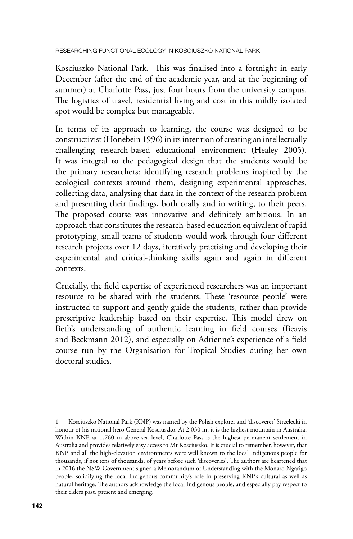Researching functional ecology in Kosciuszko National Park

Kosciuszko National Park.1 This was finalised into a fortnight in early December (after the end of the academic year, and at the beginning of summer) at Charlotte Pass, just four hours from the university campus. The logistics of travel, residential living and cost in this mildly isolated spot would be complex but manageable.

In terms of its approach to learning, the course was designed to be constructivist (Honebein 1996) in its intention of creating an intellectually challenging research-based educational environment (Healey 2005). It was integral to the pedagogical design that the students would be the primary researchers: identifying research problems inspired by the ecological contexts around them, designing experimental approaches, collecting data, analysing that data in the context of the research problem and presenting their findings, both orally and in writing, to their peers. The proposed course was innovative and definitely ambitious. In an approach that constitutes the research-based education equivalent of rapid prototyping, small teams of students would work through four different research projects over 12 days, iteratively practising and developing their experimental and critical-thinking skills again and again in different contexts.

Crucially, the field expertise of experienced researchers was an important resource to be shared with the students. These 'resource people' were instructed to support and gently guide the students, rather than provide prescriptive leadership based on their expertise. This model drew on Beth's understanding of authentic learning in field courses (Beavis and Beckmann 2012), and especially on Adrienne's experience of a field course run by the Organisation for Tropical Studies during her own doctoral studies.

Kosciuszko National Park (KNP) was named by the Polish explorer and 'discoverer' Strzelecki in honour of his national hero General Kosciuszko. At 2,030 m, it is the highest mountain in Australia. Within KNP, at 1,760 m above sea level, Charlotte Pass is the highest permanent settlement in Australia and provides relatively easy access to Mt Kosciuszko. It is crucial to remember, however, that KNP and all the high-elevation environments were well known to the local Indigenous people for thousands, if not tens of thousands, of years before such 'discoveries'. The authors are heartened that in 2016 the NSW Government signed a Memorandum of Understanding with the Monaro Ngarigo people, solidifying the local Indigenous community's role in preserving KNP's cultural as well as natural heritage. The authors acknowledge the local Indigenous people, and especially pay respect to their elders past, present and emerging.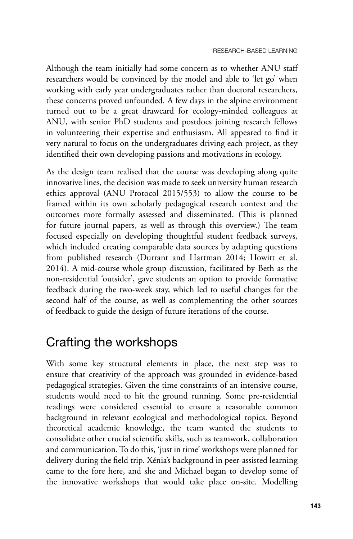Although the team initially had some concern as to whether ANU staff researchers would be convinced by the model and able to 'let go' when working with early year undergraduates rather than doctoral researchers, these concerns proved unfounded. A few days in the alpine environment turned out to be a great drawcard for ecology-minded colleagues at ANU, with senior PhD students and postdocs joining research fellows in volunteering their expertise and enthusiasm. All appeared to find it very natural to focus on the undergraduates driving each project, as they identified their own developing passions and motivations in ecology.

As the design team realised that the course was developing along quite innovative lines, the decision was made to seek university human research ethics approval (ANU Protocol 2015/553) to allow the course to be framed within its own scholarly pedagogical research context and the outcomes more formally assessed and disseminated. (This is planned for future journal papers, as well as through this overview.) The team focused especially on developing thoughtful student feedback surveys, which included creating comparable data sources by adapting questions from published research (Durrant and Hartman 2014; Howitt et al. 2014). A mid-course whole group discussion, facilitated by Beth as the non-residential 'outsider', gave students an option to provide formative feedback during the two-week stay, which led to useful changes for the second half of the course, as well as complementing the other sources of feedback to guide the design of future iterations of the course.

#### Crafting the workshops

With some key structural elements in place, the next step was to ensure that creativity of the approach was grounded in evidence-based pedagogical strategies. Given the time constraints of an intensive course, students would need to hit the ground running. Some pre-residential readings were considered essential to ensure a reasonable common background in relevant ecological and methodological topics. Beyond theoretical academic knowledge, the team wanted the students to consolidate other crucial scientific skills, such as teamwork, collaboration and communication. To do this, 'just in time' workshops were planned for delivery during the field trip. Xénia's background in peer-assisted learning came to the fore here, and she and Michael began to develop some of the innovative workshops that would take place on-site. Modelling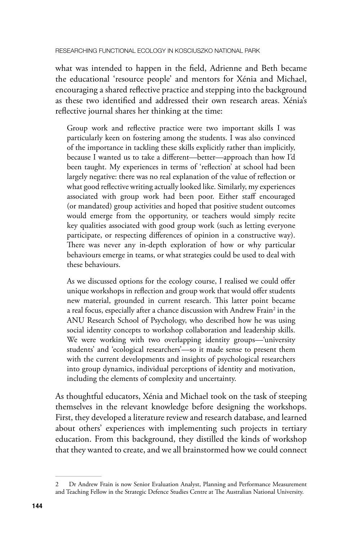what was intended to happen in the field, Adrienne and Beth became the educational 'resource people' and mentors for Xénia and Michael, encouraging a shared reflective practice and stepping into the background as these two identified and addressed their own research areas. Xénia's reflective journal shares her thinking at the time:

Group work and reflective practice were two important skills I was particularly keen on fostering among the students. I was also convinced of the importance in tackling these skills explicitly rather than implicitly, because I wanted us to take a different—better—approach than how I'd been taught. My experiences in terms of 'reflection' at school had been largely negative: there was no real explanation of the value of reflection or what good reflective writing actually looked like. Similarly, my experiences associated with group work had been poor. Either staff encouraged (or mandated) group activities and hoped that positive student outcomes would emerge from the opportunity, or teachers would simply recite key qualities associated with good group work (such as letting everyone participate, or respecting differences of opinion in a constructive way). There was never any in-depth exploration of how or why particular behaviours emerge in teams, or what strategies could be used to deal with these behaviours.

As we discussed options for the ecology course, I realised we could offer unique workshops in reflection and group work that would offer students new material, grounded in current research. This latter point became a real focus, especially after a chance discussion with Andrew Frain $^2$  in the ANU Research School of Psychology, who described how he was using social identity concepts to workshop collaboration and leadership skills. We were working with two overlapping identity groups—'university students' and 'ecological researchers'—so it made sense to present them with the current developments and insights of psychological researchers into group dynamics, individual perceptions of identity and motivation, including the elements of complexity and uncertainty.

As thoughtful educators, Xénia and Michael took on the task of steeping themselves in the relevant knowledge before designing the workshops. First, they developed a literature review and research database, and learned about others' experiences with implementing such projects in tertiary education. From this background, they distilled the kinds of workshop that they wanted to create, and we all brainstormed how we could connect

<sup>2</sup> Dr Andrew Frain is now Senior Evaluation Analyst, Planning and Performance Measurement and Teaching Fellow in the Strategic Defence Studies Centre at The Australian National University.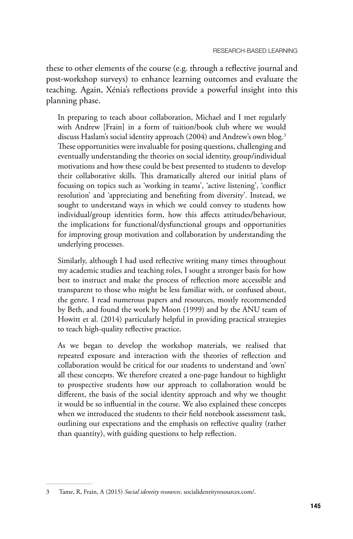these to other elements of the course (e.g. through a reflective journal and post-workshop surveys) to enhance learning outcomes and evaluate the teaching. Again, Xénia's reflections provide a powerful insight into this planning phase.

In preparing to teach about collaboration, Michael and I met regularly with Andrew [Frain] in a form of tuition/book club where we would discuss Haslam's social identity approach (2004) and Andrew's own blog.<sup>3</sup> These opportunities were invaluable for posing questions, challenging and eventually understanding the theories on social identity, group/individual motivations and how these could be best presented to students to develop their collaborative skills. This dramatically altered our initial plans of focusing on topics such as 'working in teams', 'active listening', 'conflict resolution' and 'appreciating and benefiting from diversity'. Instead, we sought to understand ways in which we could convey to students how individual/group identities form, how this affects attitudes/behaviour, the implications for functional/dysfunctional groups and opportunities for improving group motivation and collaboration by understanding the underlying processes.

Similarly, although I had used reflective writing many times throughout my academic studies and teaching roles, I sought a stronger basis for how best to instruct and make the process of reflection more accessible and transparent to those who might be less familiar with, or confused about, the genre. I read numerous papers and resources, mostly recommended by Beth, and found the work by Moon (1999) and by the ANU team of Howitt et al. (2014) particularly helpful in providing practical strategies to teach high-quality reflective practice.

As we began to develop the workshop materials, we realised that repeated exposure and interaction with the theories of reflection and collaboration would be critical for our students to understand and 'own' all these concepts. We therefore created a one-page handout to highlight to prospective students how our approach to collaboration would be different, the basis of the social identity approach and why we thought it would be so influential in the course. We also explained these concepts when we introduced the students to their field notebook assessment task, outlining our expectations and the emphasis on reflective quality (rather than quantity), with guiding questions to help reflection.

<sup>3</sup> Tame, R, Frain, A (2015) *Social identity resources*. [socialidentityresources.com/.](http://socialidentityresources.com/)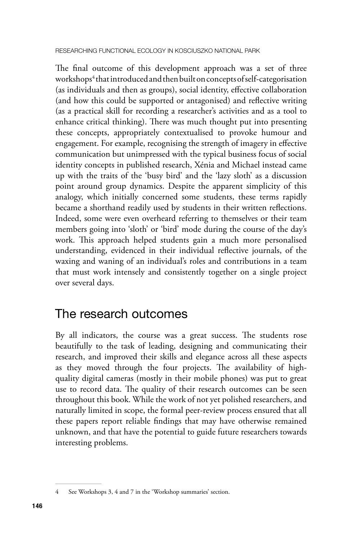Researching functional ecology in Kosciuszko National Park

The final outcome of this development approach was a set of three workshops<sup>4</sup> that introduced and then built on concepts of self-categorisation (as individuals and then as groups), social identity, effective collaboration (and how this could be supported or antagonised) and reflective writing (as a practical skill for recording a researcher's activities and as a tool to enhance critical thinking). There was much thought put into presenting these concepts, appropriately contextualised to provoke humour and engagement. For example, recognising the strength of imagery in effective communication but unimpressed with the typical business focus of social identity concepts in published research, Xénia and Michael instead came up with the traits of the 'busy bird' and the 'lazy sloth' as a discussion point around group dynamics. Despite the apparent simplicity of this analogy, which initially concerned some students, these terms rapidly became a shorthand readily used by students in their written reflections. Indeed, some were even overheard referring to themselves or their team members going into 'sloth' or 'bird' mode during the course of the day's work. This approach helped students gain a much more personalised understanding, evidenced in their individual reflective journals, of the waxing and waning of an individual's roles and contributions in a team that must work intensely and consistently together on a single project over several days.

### The research outcomes

By all indicators, the course was a great success. The students rose beautifully to the task of leading, designing and communicating their research, and improved their skills and elegance across all these aspects as they moved through the four projects. The availability of highquality digital cameras (mostly in their mobile phones) was put to great use to record data. The quality of their research outcomes can be seen throughout this book. While the work of not yet polished researchers, and naturally limited in scope, the formal peer-review process ensured that all these papers report reliable findings that may have otherwise remained unknown, and that have the potential to guide future researchers towards interesting problems.

<sup>4</sup> See Workshops 3, 4 and 7 in the 'Workshop summaries' section.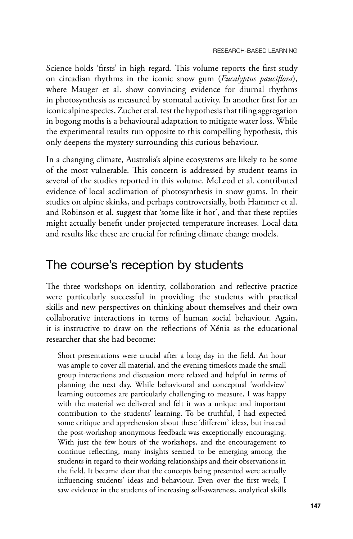Science holds 'firsts' in high regard. This volume reports the first study on circadian rhythms in the iconic snow gum (*Eucalyptus pauciflora*), where Mauger et al. show convincing evidence for diurnal rhythms in photosynthesis as measured by stomatal activity. In another first for an iconic alpine species, Zucher et al. test the hypothesis that tiling aggregation in bogong moths is a behavioural adaptation to mitigate water loss. While the experimental results run opposite to this compelling hypothesis, this only deepens the mystery surrounding this curious behaviour.

In a changing climate, Australia's alpine ecosystems are likely to be some of the most vulnerable. This concern is addressed by student teams in several of the studies reported in this volume. McLeod et al. contributed evidence of local acclimation of photosynthesis in snow gums. In their studies on alpine skinks, and perhaps controversially, both Hammer et al. and Robinson et al. suggest that 'some like it hot', and that these reptiles might actually benefit under projected temperature increases. Local data and results like these are crucial for refining climate change models.

#### The course's reception by students

The three workshops on identity, collaboration and reflective practice were particularly successful in providing the students with practical skills and new perspectives on thinking about themselves and their own collaborative interactions in terms of human social behaviour. Again, it is instructive to draw on the reflections of Xénia as the educational researcher that she had become:

Short presentations were crucial after a long day in the field. An hour was ample to cover all material, and the evening timeslots made the small group interactions and discussion more relaxed and helpful in terms of planning the next day. While behavioural and conceptual 'worldview' learning outcomes are particularly challenging to measure, I was happy with the material we delivered and felt it was a unique and important contribution to the students' learning. To be truthful, I had expected some critique and apprehension about these 'different' ideas, but instead the post-workshop anonymous feedback was exceptionally encouraging. With just the few hours of the workshops, and the encouragement to continue reflecting, many insights seemed to be emerging among the students in regard to their working relationships and their observations in the field. It became clear that the concepts being presented were actually influencing students' ideas and behaviour. Even over the first week, I saw evidence in the students of increasing self-awareness, analytical skills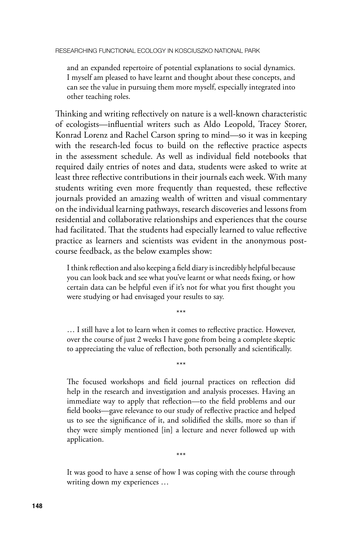and an expanded repertoire of potential explanations to social dynamics. I myself am pleased to have learnt and thought about these concepts, and can see the value in pursuing them more myself, especially integrated into other teaching roles.

Thinking and writing reflectively on nature is a well-known characteristic of ecologists—influential writers such as Aldo Leopold, Tracey Storer, Konrad Lorenz and Rachel Carson spring to mind—so it was in keeping with the research-led focus to build on the reflective practice aspects in the assessment schedule. As well as individual field notebooks that required daily entries of notes and data, students were asked to write at least three reflective contributions in their journals each week. With many students writing even more frequently than requested, these reflective journals provided an amazing wealth of written and visual commentary on the individual learning pathways, research discoveries and lessons from residential and collaborative relationships and experiences that the course had facilitated. That the students had especially learned to value reflective practice as learners and scientists was evident in the anonymous postcourse feedback, as the below examples show:

I think reflection and also keeping a field diary is incredibly helpful because you can look back and see what you've learnt or what needs fixing, or how certain data can be helpful even if it's not for what you first thought you were studying or had envisaged your results to say.

… I still have a lot to learn when it comes to reflective practice. However, over the course of just 2 weeks I have gone from being a complete skeptic to appreciating the value of reflection, both personally and scientifically.

\*\*\*

\*\*\*

The focused workshops and field journal practices on reflection did help in the research and investigation and analysis processes. Having an immediate way to apply that reflection—to the field problems and our field books—gave relevance to our study of reflective practice and helped us to see the significance of it, and solidified the skills, more so than if they were simply mentioned [in] a lecture and never followed up with application.

It was good to have a sense of how I was coping with the course through writing down my experiences …

\*\*\*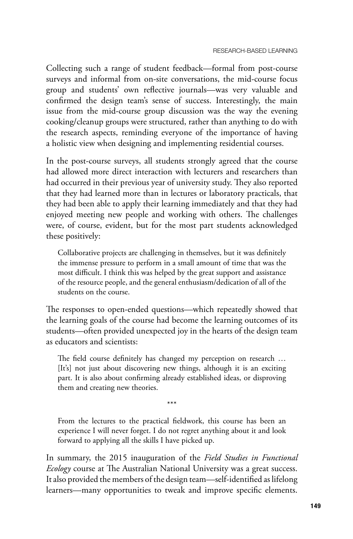Collecting such a range of student feedback—formal from post-course surveys and informal from on-site conversations, the mid-course focus group and students' own reflective journals—was very valuable and confirmed the design team's sense of success. Interestingly, the main issue from the mid-course group discussion was the way the evening cooking/cleanup groups were structured, rather than anything to do with the research aspects, reminding everyone of the importance of having a holistic view when designing and implementing residential courses.

In the post-course surveys, all students strongly agreed that the course had allowed more direct interaction with lecturers and researchers than had occurred in their previous year of university study. They also reported that they had learned more than in lectures or laboratory practicals, that they had been able to apply their learning immediately and that they had enjoyed meeting new people and working with others. The challenges were, of course, evident, but for the most part students acknowledged these positively:

Collaborative projects are challenging in themselves, but it was definitely the immense pressure to perform in a small amount of time that was the most difficult. I think this was helped by the great support and assistance of the resource people, and the general enthusiasm/dedication of all of the students on the course.

The responses to open-ended questions—which repeatedly showed that the learning goals of the course had become the learning outcomes of its students—often provided unexpected joy in the hearts of the design team as educators and scientists:

The field course definitely has changed my perception on research … [It's] not just about discovering new things, although it is an exciting part. It is also about confirming already established ideas, or disproving them and creating new theories.

\*\*\*

From the lectures to the practical fieldwork, this course has been an experience I will never forget. I do not regret anything about it and look forward to applying all the skills I have picked up.

In summary, the 2015 inauguration of the *Field Studies in Functional Ecology* course at The Australian National University was a great success. It also provided the members of the design team—self-identified as lifelong learners—many opportunities to tweak and improve specific elements.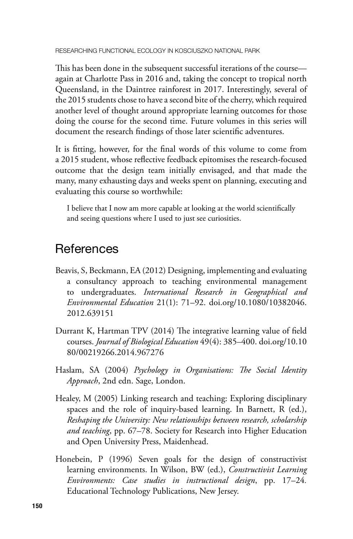Researching functional ecology in Kosciuszko National Park

This has been done in the subsequent successful iterations of the course again at Charlotte Pass in 2016 and, taking the concept to tropical north Queensland, in the Daintree rainforest in 2017. Interestingly, several of the 2015 students chose to have a second bite of the cherry, which required another level of thought around appropriate learning outcomes for those doing the course for the second time. Future volumes in this series will document the research findings of those later scientific adventures.

It is fitting, however, for the final words of this volume to come from a 2015 student, whose reflective feedback epitomises the research-focused outcome that the design team initially envisaged, and that made the many, many exhausting days and weeks spent on planning, executing and evaluating this course so worthwhile:

I believe that I now am more capable at looking at the world scientifically and seeing questions where I used to just see curiosities.

## **References**

- Beavis, S, Beckmann, EA (2012) Designing, implementing and evaluating a consultancy approach to teaching environmental management to undergraduates. *International Research in Geographical and Environmental Education* 21(1): 71–92. [doi.org/10.1080/10382046.](http://doi.org/10.1080/10382046.2012.639151) [2012.639151](http://doi.org/10.1080/10382046.2012.639151)
- Durrant K, Hartman TPV (2014) The integrative learning value of field courses. *Journal of Biological Education* 49(4): 385–400. [doi.org/10.10](http://doi.org/10.1080/00219266.2014.967276) [80/00219266.2014.967276](http://doi.org/10.1080/00219266.2014.967276)
- Haslam, SA (2004) *Psychology in Organisations: The Social Identity Approach*, 2nd edn. Sage, London.
- Healey, M (2005) Linking research and teaching: Exploring disciplinary spaces and the role of inquiry-based learning. In Barnett, R (ed.), *Reshaping the University: New relationships between research, scholarship and teaching*, pp. 67–78. Society for Research into Higher Education and Open University Press, Maidenhead.
- Honebein, P (1996) Seven goals for the design of constructivist learning environments. In Wilson, BW (ed.), *Constructivist Learning Environments: Case studies in instructional design*, pp. 17–24*.* Educational Technology Publications, New Jersey.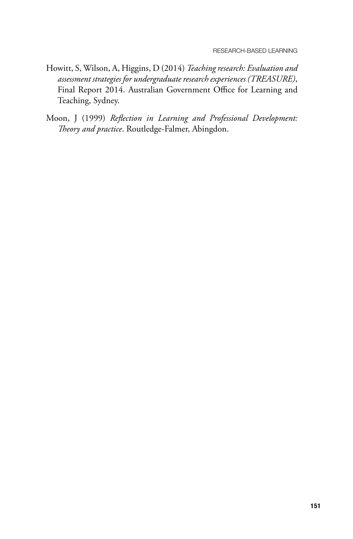- Howitt, S, Wilson, A, Higgins, D (2014) *Teaching research: Evaluation and assessment strategies for undergraduate research experiences (TREASURE)*, Final Report 2014. Australian Government Office for Learning and Teaching, Sydney.
- Moon, J (1999) *Reflection in Learning and Professional Development: Theory and practice*. Routledge-Falmer, Abingdon.